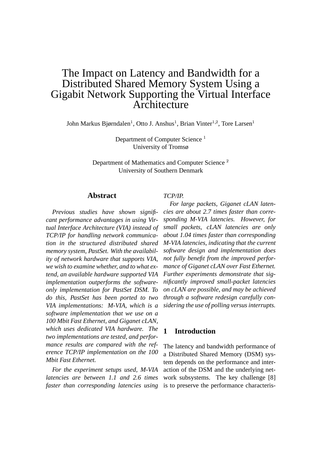# The Impact on Latency and Bandwidth for a Distributed Shared Memory System Using a Gigabit Network Supporting the Virtual Interface **Architecture**

John Markus Bjørndalen<sup>1</sup>, Otto J. Anshus<sup>1</sup>, Brian Vinter<sup>1,2</sup>, Tore Larsen<sup>1</sup>

Department of Computer Science<sup>1</sup> University of Tromsø

Department of Mathematics and Computer Science<sup>2</sup> University of Southern Denmark

### **Abstract**

*Previous studies have shown significant performance advantages in using Virtual Interface Architecture (VIA) instead of TCP/IP for handling network communication in the structured distributed shared memory system, PastSet. With the availability of network hardware that supports VIA, we wish to examine whether, and to what extend, an available hardware supported VIA implementation outperforms the softwareonly implementation for PastSet DSM. To do this, PastSet has been ported to two VIA implementations: M-VIA, which is a software implementation that we use on a 100 Mbit Fast Ethernet, and Giganet cLAN, which uses dedicated VIA hardware. The two implementations are tested, and performance results are compared with the reference TCP/IP implementation on the 100 Mbit Fast Ethernet.*

*For the experiment setups used, M-VIA latencies are between 1.1 and 2.6 times faster than corresponding latencies using*

#### *TCP/IP.*

*For large packets, Giganet cLAN latencies are about 2.7 times faster than corresponding M-VIA latencies. However, for small packets, cLAN latencies are only about 1.04 times faster than corresponding M-VIA latencies, indicating that the current software design and implementation does not fully benefit from the improved performance of Giganet cLAN over Fast Ethernet. Further experiments demonstrate that significantly improved small-packet latencies on cLAN are possible, and may be achieved through a software redesign carefully considering the use of polling versus interrupts.*

### **1 Introduction**

The latency and bandwidth performance of a Distributed Shared Memory (DSM) system depends on the performance and interaction of the DSM and the underlying network subsystems. The key challenge [8] is to preserve the performance characteris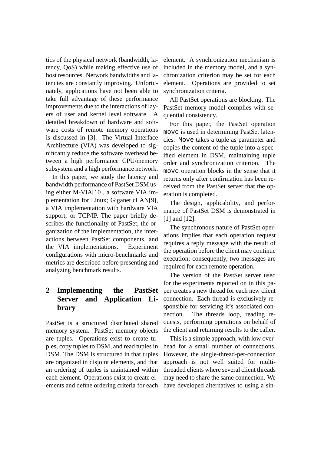tics of the physical network (bandwidth, latency, QoS) while making effective use of host resources. Network bandwidths and latencies are constantly improving. Unfortunately, applications have not been able to take full advantage of these performance improvements due to the interactions of layers of user and kernel level software. A detailed breakdown of hardware and software costs of remote memory operations is discussed in [3]. The Virtual Interface Architecture (VIA) was developed to significantly reduce the software overhead between a high performance CPU/memory subsystem and a high performance network.

In this paper, we study the latency and bandwidth performance of PastSet DSM using either M-VIA[10], a software VIA implementation for Linux; Giganet cLAN[9], a VIA implementation with hardware VIA support; or TCP/IP. The paper briefly describes the functionality of PastSet, the organization of the implementation, the interactions between PastSet components, and the VIA implementations. Experiment configurations with micro-benchmarks and metrics are described before presenting and analyzing benchmark results.

# **2 Implementing the PastSet Server and Application Library**

PastSet is a structured distributed shared memory system. PastSet memory objects are tuples. Operations exist to create tuples, copy tuples to DSM, and read tuples in DSM. The DSM is structured in that tuples are organized in disjoint elements, and that an ordering of tuples is maintained within each element. Operations exist to create elements and define ordering criteria for each element. A synchronization mechanism is included in the memory model, and a synchronization criterion may be set for each element. Operations are provided to set synchronization criteria.

All PastSet operations are blocking. The PastSet memory model complies with sequential consistency.

For this paper, the PastSet operation move is used in determining PastSet latencies. Move takes a tuple as parameter and copies the content of the tuple into a specified element in DSM, maintaining tuple order and synchronization criterion. The move operation blocks in the sense that it returns only after confirmation has been received from the PastSet server that the operation is completed.

The design, applicability, and performance of PastSet DSM is demonstrated in [1] and [12].

The synchronous nature of PastSet operations implies that each operation request requires a reply message with the result of the operation before the client may continue execution; consequently, two messages are required for each remote operation.

The version of the PastSet server used for the experiments reported on in this paper creates a new thread for each new client connection. Each thread is exclusively responsible for servicing it's associated connection. The threads loop, reading requests, performing operations on behalf of the client and returning results to the caller.

This is a simple approach, with low overhead for a small number of connections. However, the single-thread-per-connection approach is not well suited for multithreaded clients where several client threads may need to share the same connection. We have developed alternatives to using a sin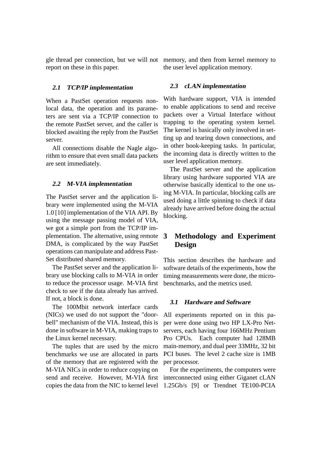report on these in this paper.

#### **2.1 TCP/IP implementation**

When a PastSet operation requests nonlocal data, the operation and its parameters are sent via a TCP/IP connection to the remote PastSet server, and the caller is blocked awaiting the reply from the PastSet server.

All connections disable the Nagle algorithm to ensure that even small data packets are sent immediately.

#### **2.2 M-VIA implementation**

The PastSet server and the application library were implemented using the M-VIA 1.0 [10] implementation of the VIA API. By using the message passing model of VIA, we got a simple port from the TCP/IP implementation. The alternative, using remote DMA, is complicated by the way PastSet operations can manipulate and address Past-Set distributed shared memory.

The PastSet server and the application library use blocking calls to M-VIA in order to reduce the processor usage. M-VIA first check to see if the data already has arrived. If not, a block is done.

The 100Mbit network interface cards (NICs) we used do not support the "doorbell" mechanism of the VIA. Instead, this is done in software in M-VIA, making traps to the Linux kernel necessary.

The tuples that are used by the micro benchmarks we use are allocated in parts of the memory that are registered with the M-VIA NICs in order to reduce copying on send and receive. However, M-VIA first copies the data from the NIC to kernel level

gle thread per connection, but we will not memory, and then from kernel memory to the user level application memory.

#### **2.3 cLAN implementation**

With hardware support, VIA is intended to enable applications to send and receive packets over a Virtual Interface without trapping to the operating system kernel. The kernel is basically only involved in setting up and tearing down connections, and in other book-keeping tasks. In particular, the incoming data is directly written to the user level application memory.

The PastSet server and the application library using hardware supported VIA are otherwise basically identical to the one using M-VIA. In particular, blocking calls are used doing a little spinning to check if data already have arrived before doing the actual blocking.

# **3 Methodology and Experiment Design**

This section describes the hardware and software details of the experiments, how the timing measurements were done, the microbenchmarks, and the metrics used.

#### **3.1 Hardware and Software**

All experiments reported on in this paper were done using two HP LX-Pro Netservers, each having four 166MHz Pentium Pro CPUs. Each computer had 128MB main-memory, and dual peer 33MHz, 32 bit PCI buses. The level 2 cache size is 1MB per processor.

For the experiments, the computers were interconnected using either Giganet cLAN 1.25Gb/s [9] or Trendnet TE100-PCIA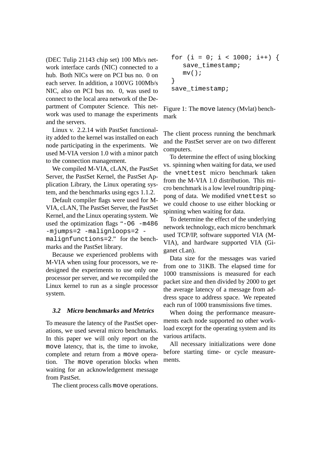(DEC Tulip 21143 chip set) 100 Mb/s network interface cards (NIC) connected to a hub. Both NICs were on PCI bus no. 0 on each server. In addition, a 100VG 100Mb/s NIC, also on PCI bus no. 0, was used to connect to the local area network of the Department of Computer Science. This network was used to manage the experiments and the servers.

Linux v. 2.2.14 with PastSet functionality added to the kernel was installed on each node participating in the experiments. We used M-VIA version 1.0 with a minor patch to the connection management.

We compiled M-VIA, cLAN, the PastSet Server, the PastSet Kernel, the PastSet Application Library, the Linux operating system, and the benchmarks using egcs 1.1.2.

Default compiler flags were used for M-VIA, cLAN, The PastSet Server, the PastSet Kernel, and the Linux operating system. We used the optimization flags "-O6 -m486 -mjumps=2 -malignloops=2 malignfunctions=2." for the benchmarks and the PastSet library.

Because we experienced problems with M-VIA when using four processors, we redesigned the experiments to use only one processor per server, and we recompiled the Linux kernel to run as a single processor system.

# **3.2 Micro benchmarks and Metrics**

To measure the latency of the PastSet operations, we used several micro benchmarks. In this paper we will only report on the move latency, that is, the time to invoke, complete and return from a move operation. The move operation blocks when waiting for an acknowledgement message from PastSet.

The client process calls move operations.

for (i = 0; i < 1000; i++) { save\_timestamp; mv(); } save\_timestamp;

Figure 1: The move latency (Mvlat) benchmark

The client process running the benchmark and the PastSet server are on two different computers.

To determine the effect of using blocking vs. spinning when waiting for data, we used the vnettest micro benchmark taken from the M-VIA 1.0 distribution. This micro benchmark is a low level roundtrip pingpong of data. We modified vnettest so we could choose to use either blocking or spinning when waiting for data.

To determine the effect of the underlying network technology, each micro benchmark used TCP/IP, software supported VIA (M-VIA), and hardware supported VIA (Giganet cLan).

Data size for the messages was varied from one to 31KB. The elapsed time for 1000 transmissions is measured for each packet size and then divided by 2000 to get the average latency of a message from address space to address space. We repeated each run of 1000 transmissions five times.

When doing the performance measurements each node supported no other workload except for the operating system and its various artifacts.

All necessary initializations were done before starting time- or cycle measurements.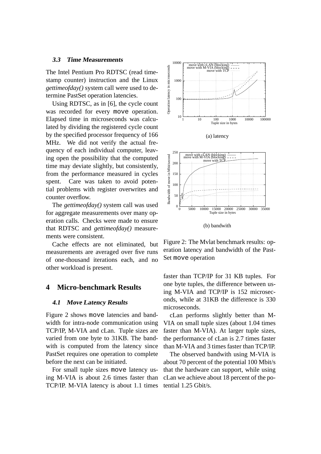#### **3.3 Time Measurements**

The Intel Pentium Pro RDTSC (read timestamp counter) instruction and the Linux *gettimeofday()* system call were used to determine PastSet operation latencies.

Using RDTSC, as in [6], the cycle count was recorded for every move operation. Elapsed time in microseconds was calculated by dividing the registered cycle count by the specified processor frequency of 166 MHz. We did not verify the actual frequency of each individual computer, leaving open the possibility that the computed time may deviate slightly, but consistently, from the performance measured in cycles spent. Care was taken to avoid potential problems with register overwrites and counter overflow.

The *gettimeofday()* system call was used for aggregate measurements over many operation calls. Checks were made to ensure that RDTSC and *gettimeofday()* measurements were consistent.

Cache effects are not eliminated, but measurements are averaged over five runs of one-thousand iterations each, and no other workload is present.

# **4 Micro-benchmark Results**

#### **4.1 Move Latency Results**

Figure 2 shows move latencies and bandwidth for intra-node communication using TCP/IP, M-VIA and cLan. Tuple sizes are varied from one byte to 31KB. The bandwith is computed from the latency since PastSet requires one operation to complete before the next can be initiated.

For small tuple sizes move latency using M-VIA is about 2.6 times faster than TCP/IP. M-VIA latency is about 1.1 times



Figure 2: The Mvlat benchmark results: operation latency and bandwidth of the Past-Set move operation

faster than TCP/IP for 31 KB tuples. For one byte tuples, the difference between using M-VIA and TCP/IP is 152 microseconds, while at 31KB the difference is 330 microseconds.

cLan performs slightly better than M-VIA on small tuple sizes (about 1.04 times faster than M-VIA). At larger tuple sizes, the performance of cLan is 2.7 times faster than M-VIA and 3 times faster than TCP/IP.

The observed bandwith using M-VIA is about 70 percent of the potential 100 Mbit/s that the hardware can support, while using cLan we achieve about 18 percent of the potential 1.25 Gbit/s.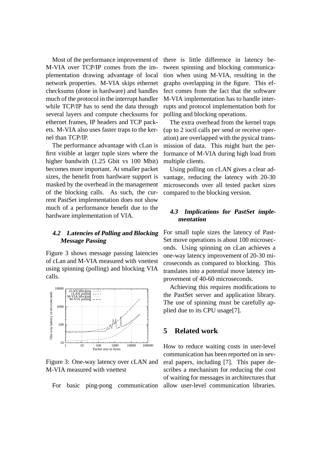Most of the performance improvement of M-VIA over TCP/IP comes from the implementation drawing advantage of local network properties. M-VIA skips ethernet checksums (done in hardware) and handles much of the protocol in the interrupt handler while TCP/IP has to send the data through several layers and compute checksums for ethernet frames, IP headers and TCP packets. M-VIA also uses faster traps to the kernel than TCP/IP.

The performance advantage with cLan is first visible at larger tuple sizes where the higher bandwith (1.25 Gbit vs 100 Mbit) becomes more important. At smaller packet sizes, the benefit from hardware support is masked by the overhead in the management of the blocking calls. As such, the current PastSet implementation does not show much of a performance benefit due to the hardware implementation of VIA.

### **4.2 Latencies of Polling and Blocking Message Passing**

Figure 3 shows message passing latencies of cLan and M-VIA measured with vnettest using spinning (polling) and blocking VIA calls.



Figure 3: One-way latency over cLAN and M-VIA measured with vnettest

there is little difference in latency between spinning and blocking communication when using M-VIA, resulting in the graphs overlapping in the figure. This effect comes from the fact that the software M-VIA implementation has to handle interrupts and protocol implementation both for polling and blocking operations.

The extra overhead from the kernel traps (up to 2 ioctl calls per send or receive operation) are overlapped with the pysical transmission of data. This might hurt the performance of M-VIA during high load from multiple clients.

Using polling on cLAN gives a clear advantage, reducing the latency with 20-30 microseconds over all tested packet sizes compared to the blocking version.

# **4.3 Implications for PastSet implementation**

For small tuple sizes the latency of Past-Set move operations is about 100 microseconds. Using spinning on cLan achieves a one-way latency improvement of 20-30 microseconds as compared to blocking. This translates into a potential move latency improvement of 40-60 microseconds.

Achieving this requires modifications to the PastSet server and application library. The use of spinning must be carefully applied due to its CPU usage[7].

# **5 Related work**

For basic ping-pong communication allow user-level communication libraries.How to reduce waiting costs in user-level communication has been reported on in several papers, including [7]. This paper describes a mechanism for reducing the cost of waiting for messages in architectures that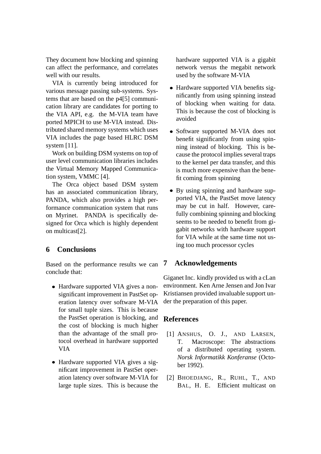They document how blocking and spinning can affect the performance, and correlates well with our results.

VIA is currently being introduced for various message passing sub-systems. Systems that are based on the  $p4[5]$  communication library are candidates for porting to the VIA API, e.g. the M-VIA team have ported MPICH to use M-VIA instead. Distributed shared memory systems which uses VIA includes the page based HLRC DSM system [11].

Work on building DSM systems on top of user level communication libraries includes the Virtual Memory Mapped Communication system, VMMC [4].

The Orca object based DSM system has an associated communication library, PANDA, which also provides a high performance communication system that runs on Myrinet. PANDA is specifically designed for Orca which is highly dependent on multicast[2].

# **6 Conclusions**

Based on the performance results we can conclude that:

- Hardware supported VIA gives a nonsignificant improvement in PastSet operation latency over software M-VIA for small tuple sizes. This is because the PastSet operation is blocking, and the cost of blocking is much higher than the advantage of the small protocol overhead in hardware supported VIA
- Hardware supported VIA gives a significant improvement in PastSet operation latency over software M-VIA for large tuple sizes. This is because the

hardware supported VIA is a gigabit network versus the megabit network used by the software M-VIA

- Hardware supported VIA benefits significantly from using spinning instead of blocking when waiting for data. This is because the cost of blocking is avoided
- Software supported M-VIA does not benefit significantly from using spinning instead of blocking. This is because the protocol implies several traps to the kernel per data transfer, and this is much more expensive than the benefit coming from spinning
- By using spinning and hardware supported VIA, the PastSet move latency may be cut in half. However, carefully combining spinning and blocking seems to be needed to benefit from gigabit networks with hardware support for VIA while at the same time not using too much processor cycles

# **7 Acknowledgements**

Giganet Inc. kindly provided us with a cLan environment. Ken Arne Jensen and Jon Ivar Kristiansen provided invaluable support under the preparation of this paper.

# **References**

- [1] ANSHUS, O. J., AND LARSEN, T. Macroscope: The abstractions of a distributed operating system. *Norsk Informatikk Konferanse* (October 1992).
- [2] BHOEDJANG, R., RUHL, T., AND BAL, H. E. Efficient multicast on